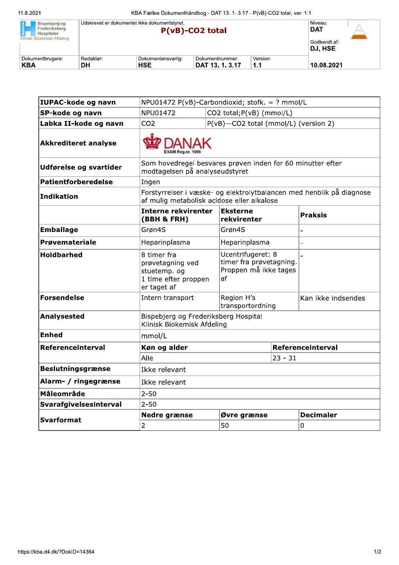| Bispebjerg og<br>Frederiksberg<br>Hospitaler.<br>Klinisk Biokemisk Afdeling |           | Udskrevet er dokumentet ikke dokumentstyret. | $P(vB)$ -CO2 total |          | Niveau:<br><b>DAT</b><br>Godkendt af:<br>DJ, HSE |  |
|-----------------------------------------------------------------------------|-----------|----------------------------------------------|--------------------|----------|--------------------------------------------------|--|
| Dokumentbrugere:                                                            | Redaktør: | Dokumentansvarlig:                           | Dokumentnummer:    | Version: |                                                  |  |
| <b>KBA</b>                                                                  | DH        | <b>HSE</b>                                   | DAT 13, 1, 3,17    | 1.1      | 10.08.2021                                       |  |

| <b>IUPAC-kode og navn</b>   | NPU01472 P(vB)-Carbondioxid; stofk. = ? mmol/L                                         |                                                                                                                    |                                                                             |                   |                    |  |
|-----------------------------|----------------------------------------------------------------------------------------|--------------------------------------------------------------------------------------------------------------------|-----------------------------------------------------------------------------|-------------------|--------------------|--|
| SP-kode og navn             | NPU01472<br>CO2 total; P(vB) (mmol/L)                                                  |                                                                                                                    |                                                                             |                   |                    |  |
| Labka II-kode og navn       | CO <sub>2</sub>                                                                        | P(vB)-CO2 total (mmol/L) (version 2)                                                                               |                                                                             |                   |                    |  |
| <b>Akkrediteret analyse</b> |                                                                                        |                                                                                                                    |                                                                             |                   |                    |  |
| Udførelse og svartider      |                                                                                        | Som hovedregel besvares prøven inden for 60 minutter efter<br>modtagelsen på analyseudstyret                       |                                                                             |                   |                    |  |
| <b>Patientforberedelse</b>  | Ingen                                                                                  |                                                                                                                    |                                                                             |                   |                    |  |
| <b>Indikation</b>           |                                                                                        | Forstyrrelser i væske- og elektrolytbalancen med henblik på diagnose<br>af mulig metabolisk acidose eller alkalose |                                                                             |                   |                    |  |
|                             | Interne rekvirenter<br>(BBH & FRH)                                                     |                                                                                                                    | Eksterne<br>rekvirenter                                                     |                   | <b>Praksis</b>     |  |
| <b>Emballage</b>            | Grøn4S                                                                                 |                                                                                                                    | Grøn4S                                                                      |                   |                    |  |
| Prøvemateriale              | Heparinplasma                                                                          |                                                                                                                    | Heparinplasma                                                               |                   |                    |  |
| <b>Holdbarhed</b>           | 8 timer fra<br>prøvetagning ved<br>stuetemp. og<br>1 time efter proppen<br>er taget af |                                                                                                                    | Ucentrifugeret: 8<br>timer fra prøvetagning.<br>Proppen må ikke tages<br>af |                   |                    |  |
| <b>Forsendelse</b>          | Intern transport                                                                       |                                                                                                                    | Region H's<br>transportordning                                              |                   | Kan ikke indsendes |  |
| Analysested                 | Bispebjerg og Frederiksberg Hospital<br>Klinisk Biokemisk Afdeling                     |                                                                                                                    |                                                                             |                   |                    |  |
| <b>Enhed</b>                | mmol/L                                                                                 |                                                                                                                    |                                                                             |                   |                    |  |
| Referenceinterval           | Køn og alder                                                                           |                                                                                                                    |                                                                             | Referenceinterval |                    |  |
|                             | Alle                                                                                   |                                                                                                                    | $23 - 31$                                                                   |                   |                    |  |
| <b>Beslutningsgrænse</b>    | Ikke relevant                                                                          |                                                                                                                    |                                                                             |                   |                    |  |
| Alarm- / ringegrænse        | Ikke relevant                                                                          |                                                                                                                    |                                                                             |                   |                    |  |
| Måleområde                  | $2 - 50$                                                                               |                                                                                                                    |                                                                             |                   |                    |  |
| Svarafgivelsesinterval      | $2 - 50$                                                                               |                                                                                                                    |                                                                             |                   |                    |  |
| <b>Svarformat</b>           | Nedre grænse                                                                           | Øvre grænse                                                                                                        |                                                                             |                   | <b>Decimaler</b>   |  |
|                             | $\overline{2}$                                                                         |                                                                                                                    |                                                                             |                   | 0                  |  |